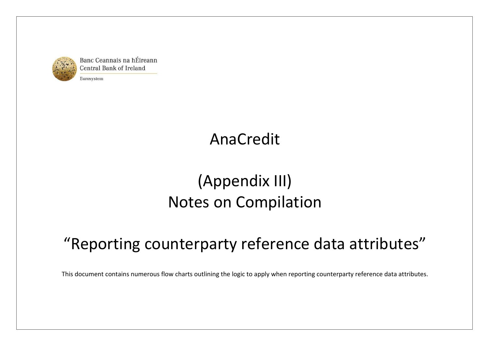

Banc Ceannais na hÉireann **Central Bank of Ireland** 

Eurosystem

# AnaCredit

# (Appendix III) Notes on Compilation

# "Reporting counterparty reference data attributes"

This document contains numerous flow charts outlining the logic to apply when reporting counterparty reference data attributes.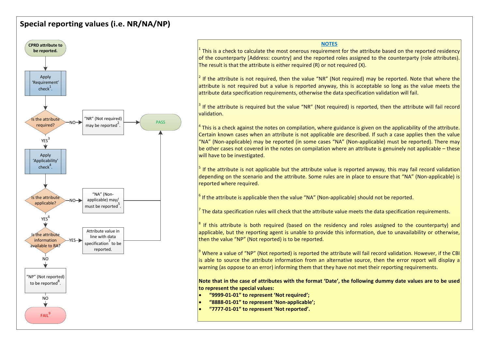## Special reporting values (i.e. NR/NA/NP)



#### **NOTES**

<sup>1</sup> This is a check to calculate the most onerous requirement for the attribute based on the reported residency  $\vert$ of the counterparty [Address: country] and the reported roles assigned to the counterparty (role attributes). The result is that the attribute is either required (R) or not required (X).

<sup>2</sup> If the attribute is not required, then the value "NR" (Not required) may be reported. Note that where the  $\vert$ attribute is not required but a value is reported anyway, this is acceptable so long as the value meets the attribute data specification requirements, otherwise the data specification validation will fail.

<sup>3</sup> If the attribute is required but the value "NR" (Not required) is reported, then the attribute will fail record  $\vert$ validation.

<sup>4</sup> This is a check against the notes on compilation, where guidance is given on the applicability of the attribute.  $\vert$ Certain known cases when an attribute is not applicable are described. If such a case applies then the value "<br>"NA" (Non-applicable) may be reported (in some cases "NA" (Non-applicable) must be reported). There may be other cases not covered in the notes on compilation where an attribute is genuinely not applicable – these will have to be investigated.

<sup>5</sup> If the attribute is not applicable but the attribute value is reported anyway, this may fail record validation  $\vert$ depending on the scenario and the attribute. Some rules are in place to ensure that "NA" (Non-applicable) is reported where required.

 $<sup>6</sup>$  If the attribute is applicable then the value "NA" (Non-applicable) should not be reported.</sup>

<sup>7</sup> The data specification rules will check that the attribute value meets the data specification requirements.  $\Box$ 

 $^8$  If this attribute is both required (based on the residency and roles assigned to the counterparty) and  $\vert$ applicable, but the reporting agent is unable to provide this information, due to unavailability or otherwise, then the value "NP" (Not reported) is to be reported.

 $^9$  Where a value of "NP" (Not reported) is reported the attribute will fail record validation. However, if the CBI  $\vert$ is able to source the attribute information from an alternative source, then the error report will display a warning (as oppose to an error) informing them that they have not met their reporting requirements.

Note that in the case of attributes with the format 'Date', the following dummy date values are to be used to represent the special values:

- "9999-01-01" to represent 'Not required';
- "8888-01-01" to represent 'Non-applicable';
- "7777-01-01" to represent 'Not reported'.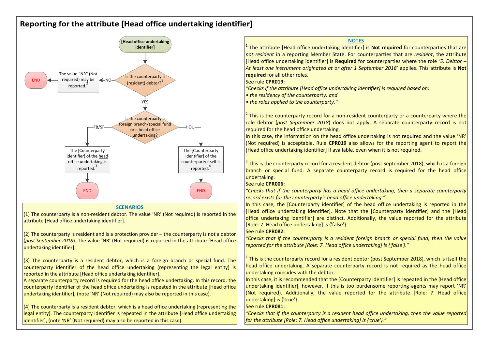# Reporting for the attribute [Head office undertaking identifier]



**SCENARIOS** 

 $(1)$  The counterparty is a non-resident debtor. The value 'NR' (Not required) is reported in the attribute [Head office undertaking identifier].

(2) The counterparty is resident and is a protection provider – the counterparty is not a debtor (post September 2018). The value 'NR' (Not required) is reported in the attribute [Head office undertaking identifier].

 $(3)$  The counterparty is a resident debtor, which is a foreign branch or special fund. The counterparty identifier of the head office undertaking (representing the legal entity) is reported in the attribute [Head office undertaking identifier].

A separate counterparty record is required for the head office undertaking. In this record, the counterparty identifier of the head office undertaking is repeated in the attribute [Head office undertaking identifier], (note 'NR' (Not required) may also be reported in this case).

(4) The counterparty is a resident debtor, which is a head office undertaking (representing the legal entity). The counterparty identifier is repeated in the attribute [Head office undertaking identifier], (note 'NR' (Not required) may also be reported in this case).

 The attribute [Head office undertaking identifier] is Not required for counterparties that are not resident in a reporting Member State. For counterparties that are resident, the attribute [Head office undertaking identifier] is Required for counterparties where the role '5. Debtor -At least one instrument originated at or after 1 September 2018' applies. This attribute is Not required for all other roles.

See rule CPR019:

"Checks if the attribute [Head office undertaking identifier] is required based on:

• the residency of the counterparty; and

• the roles applied to the counterparty."

<sup>2</sup> This is the counterparty record for a non-resident counterparty or a counterparty where the  $\vert$ role debtor (post September 2018) does not apply. A separate counterparty record is not FB/SF The straight state of the head office undertaking.

In this case, the information on the head office undertaking is not required and the value 'NR' (Not required) is acceptable. Rule CPR019 also allows for the reporting agent to report the [Head office undertaking identifier] if available, even when it is not required.

 $^3$  This is the counterparty record for a resident debtor (post September 2018), which is a foreign  $\vert$ branch or special fund. A separate counterparty record is required for the head office undertaking.

#### See rule CPR006:

 $\blacksquare$  END  $\blacksquare$  END  $\blacksquare$   $\blacksquare$   $\blacksquare$   $\blacksquare$   $\blacksquare$   $\blacksquare$   $\blacksquare$   $\blacksquare$   $\blacksquare$   $\blacksquare$   $\blacksquare$   $\blacksquare$   $\blacksquare$   $\blacksquare$   $\blacksquare$   $\blacksquare$   $\blacksquare$   $\blacksquare$   $\blacksquare$   $\blacksquare$   $\blacksquare$   $\blacksquare$   $\blacksquare$   $\blacksquare$   $\blacksquare$   $\blacksquare$   $\blacksquare$   $\blacksquare$   $\bl$ record exists for the counterparty's head office undertaking."

In this case, the [Counterparty identifier] of the head office undertaking is reported in the [Head office undertaking identifier]. Note that the [Counterparty identifier] and the [Head office undertaking identifier] are distinct. Additionally, the value reported for the attribute [Role: 7. Head office undertaking] is {'false'}.

### See rule CPR082:

"Checks that if the counterparty is a resident foreign branch or special fund, then the value reported for the attribute [Role: 7. Head office undertaking] is {'false'}."

 $^4$  This is the counterparty record for a resident debtor (post September 2018), which is itself the  $\vert$ head office undertaking. A separate counterparty record is not required as the head office undertaking coincides with the debtor.

In this case, it is recommended that the [Counterparty identifier] is repeated in the [Head office undertaking identifier], however, if this is too burdensome reporting agents may report 'NR' (Not required). Additionally, the value reported for the attribute [Role: 7. Head office undertaking] is {'true'}.

## See rule CPR081:

"Checks that if the counterparty is a resident head office undertaking, then the value reported for the attribute [Role: 7. Head office undertaking] is {'true'}."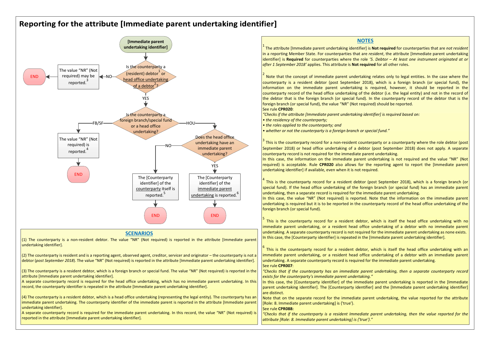## Reporting for the attribute [Immediate parent undertaking identifier]



#### **SCENARIOS**

 $(1)$  The counterparty is a non-resident debtor. The value "NR" (Not required) is reported in the attribute [Immediate undertaking identifier].

 $(2)$  The counterparty is resident and is a reporting agent, observed agent, creditor, servicer and originator – the counterparty debtor (post September 2018). The value "NR" (Not required) is reported in the attribute [Immediate parent undertaking identifier].

(3) The counterparty is a resident debtor, which is a foreign branch or special fund. The value "NR" (Not required) is reported attribute [Immediate parent undertaking identifier].

 $\vert$  A separate counterparty record is required for the head office undertaking, which has no immediate parent undertaking.  $r$ ecord, the counterparty identifier is repeated in the attribute [Immediate parent undertaking identifier].

 $(4)$  The counterparty is a resident debtor, which is a head office undertaking (representing the legal entity). The counterparty immediate parent undertaking. The counterparty identifier of the immediate parent is reported in the attribute [Immediate parent] undertaking identifier].

A separate counterparty record is required for the immediate parent undertaking. In this record, the value "NR" (Not required) is reported in the attribute [Immediate parent undertaking identifier].

| [Immediate parent                                                                                             | <b>NOTES</b>                                                                                                                         |
|---------------------------------------------------------------------------------------------------------------|--------------------------------------------------------------------------------------------------------------------------------------|
| undertaking identifier]                                                                                       | <sup>1</sup> The attribute [Immediate parent undertaking identifier] is <b>Not required</b> for counterparties that are not resident |
|                                                                                                               | in a reporting Member State. For counterparties that are resident, the attribute [Immediate parent undertaking                       |
|                                                                                                               | identifier] is Required for counterparties where the role '5. Debtor $-$ At least one instrument originated at or                    |
| Is the counterparty a                                                                                         | after 1 September 2018' applies. This attribute is <b>Not required</b> for all other roles.                                          |
| alue "NR" (Not                                                                                                |                                                                                                                                      |
| (resident) debtor or<br>uired) may be<br>$\leftarrow$ NO-                                                     | Note that the concept of immediate parent undertaking relates only to legal entities. In the case where the                          |
| head office undertaking<br>reported. <sup>3</sup>                                                             | counterparty is a resident debtor (post September 2018), which is a foreign branch (or special fund), the                            |
| of a debtor <sup>2</sup> ?                                                                                    | information on the immediate parent undertaking is required, however, it should be reported in the                                   |
|                                                                                                               | counterparty record of the head office undertaking of the debtor (i.e. the legal entity) and not in the record of                    |
| YES                                                                                                           | the debtor that is the foreign branch (or special fund). In the counterparty record of the debtor that is the                        |
|                                                                                                               | foreign branch (or special fund), the value "NR" (Not required) should be reported.                                                  |
|                                                                                                               | See rule CPR020:                                                                                                                     |
| Is the counterparty a                                                                                         | "Checks if the attribute [Immediate parent undertaking identifier] is required based on:                                             |
| foreign branch/special fund<br>FB/SF<br>HOU                                                                   | • the residency of the counterparty;                                                                                                 |
| or a head office                                                                                              | • the roles applied to the counterparty; and                                                                                         |
| undertaking?                                                                                                  | • whether or not the counterparty is a foreign branch or special fund."                                                              |
| Does the head office<br>alue "NR" (Not                                                                        |                                                                                                                                      |
| undertaking have an<br>equired) is                                                                            | This is the counterparty record for a non-resident counterparty or a counterparty where the role debtor (post                        |
| immediate parent<br>reported. <sup>4</sup>                                                                    | September 2018) or head office undertaking of a debtor (post September 2018) does not apply. A separate                              |
| undertaking?                                                                                                  | counterparty record is not required for the immediate parent undertaking.                                                            |
|                                                                                                               | In this case, the information on the immediate parent undertaking is not required and the value "NR" (Not                            |
| YES                                                                                                           | required) is acceptable. Rule CPR020 also allows for the reporting agent to report the [Immediate parent                             |
|                                                                                                               | undertaking identifier] if available, even when it is not required.                                                                  |
| <b>END</b><br>The [Counterparty<br>The [Counterparty                                                          |                                                                                                                                      |
| identifier] of the<br>identifier] of the                                                                      | This is the counterparty record for a resident debtor (post September 2018), which is a foreign branch (or                           |
| counterparty itself is<br>immediate parent                                                                    | special fund). If the head office undertaking of the foreign branch (or special fund) has an immediate parent                        |
| reported. <sup>5</sup><br>undertaking is reported. <sup>b</sup>                                               | undertaking, then a separate record is required for the immediate parent undertaking.                                                |
|                                                                                                               | In this case, the value "NR" (Not required) is reported. Note that the information on the immediate parent                           |
|                                                                                                               | undertaking is required but it is to be reported in the counterparty record of the head office undertaking of the                    |
|                                                                                                               | foreign branch (or special fund).                                                                                                    |
| <b>END</b><br><b>END</b>                                                                                      |                                                                                                                                      |
|                                                                                                               | This is the counterparty record for a resident debtor, which is itself the head office undertaking with no                           |
|                                                                                                               | immediate parent undertaking, or a resident head office undertaking of a debtor with no immediate parent                             |
| <b>SCENARIOS</b>                                                                                              | undertaking. A separate counterparty record is not required for the immediate parent undertaking as none exists.                     |
| non-resident debtor. The value "NR" (Not required) is reported in the attribute [Immediate parent             | In this case, the [Counterparty identifier] is repeated in the [Immediate parent undertaking identifier].                            |
|                                                                                                               |                                                                                                                                      |
|                                                                                                               | $6$ This is the counterparty record for a resident debtor, which is itself the head office undertaking with an                       |
| ident and is a reporting agent, observed agent, creditor, servicer and originator – the counterparty is not a | immediate parent undertaking, or a resident head office undertaking of a debtor with an immediate parent                             |
| 128). The value "NR" (Not required) is reported in the attribute [Immediate parent undertaking identifier].   | undertaking. A separate counterparty record is required for the immediate parent undertaking.<br>See rule CPR007:                    |
| esident debtor, which is a foreign branch or special fund. The value "NR" (Not required) is reported in the   | "Checks that if the counterparty has an immediate parent undertaking, then a separate counterparty record                            |
| nt undertaking identifier].                                                                                   | exists for the counterparty's immediate parent undertaking."                                                                         |
| ecord is required for the head office undertaking, which has no immediate parent undertaking. In this         | In this case, the [Counterparty identifier] of the immediate parent undertaking is reported in the [Immediate]                       |
| dentifier is repeated in the attribute [Immediate parent undertaking identifier].                             | parent undertaking identifier]. The [Counterparty identifier] and the [Immediate parent undertaking identifier]                      |
|                                                                                                               | are distinct.                                                                                                                        |
| esident debtor, which is a head office undertaking (representing the legal entity). The counterparty has an   | Note that on the separate record for the immediate parent undertaking, the value reported for the attribute                          |
| king. The counterparty identifier of the immediate parent is reported in the attribute [Immediate parent]     | [Role: 8. Immediate parent undertaking] is {'true'}.                                                                                 |

See rule CPR088:

"Checks that if the counterparty is a resident Immediate parent undertaking, then the value reported for the attribute [Role: 8. Immediate parent undertaking] is {'true'}."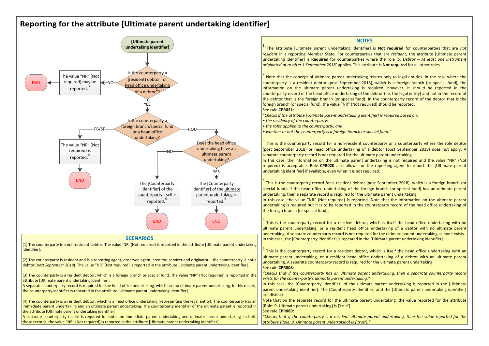## Reporting for the attribute [Ultimate parent undertaking identifier]



#### **SCENARIOS**

(1) The counterparty is a non-resident debtor. The value 'NR' (Not required) is reported in the attribute [Ultimate parent undertaking identifier].

(2) The counterparty is resident and is a reporting agent, observed agent, creditor, servicer and originator – the counterparty is not a debtor (post September 2018). The value "NR" (Not required) is reported in the attribute [Ultimate parent undertaking identifier].

(3) The counterparty is a resident debtor, which is a foreign branch or special fund. The value "NR" (Not required) is reported in the attribute [Ultimate parent undertaking identifier].

A separate counterparty record is required for the head office undertaking, which has no ultimate parent undertaking. In this record, the counterparty identifier is repeated in the attribute [Ultimate parent undertaking identifier].

(4) The counterparty is a resident debtor, which is a head office undertaking (representing the legal entity). The counterparty has an immediate parent undertaking and an ultimate parent undertaking. The counterparty identifier of the ultimate parent is reported in the attribute [Ultimate parent undertaking identifier].

A separate counterparty record is required for both the immediate parent undertaking and ultimate parent undertaking. In both these records, the value "NR" (Not required) is reported in the attribute [Ultimate parent undertaking identifier].



Note that on the separate record for the ultimate parent undertaking, the value reported for the attribute [Role: 9. Ultimate parent undertaking] is {'true'}.

#### See rule CPR089:

"Checks that if the counterparty is a resident ultimate parent undertaking, then the value reported for the attribute [Role: 9. Ultimate parent undertaking] is {'true'}."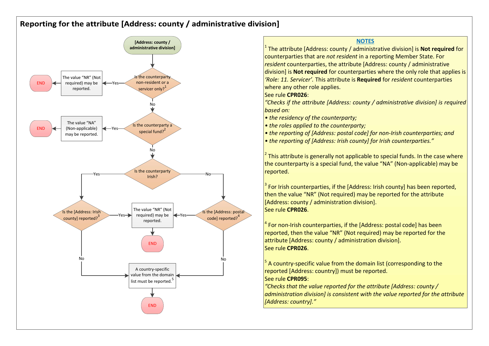# Reporting for the attribute [Address: county / administrative division]



**NOTES** <sup>1</sup> The attribute [Address: county / administrative division] is **Not required** for  $\vert \vert$ counterparties that are not resident in a reporting Member State. For resident counterparties, the attribute [Address: county / administrative division] is **Not required** for counterparties where the only role that applies is 'Role: 11. Servicer'. This attribute is Required for resident counterparties where any other role applies. See rule CPR026: "Checks if the attribute [Address: county / administrative division] is required based on: • the residency of the counterparty: • the roles applied to the counterparty; • the reporting of [Address: postal code] for non-Irish counterparties; and • the reporting of [Address: Irish county] for Irish counterparties." <sup>2</sup> This attribute is generally not applicable to special funds. In the case where  $\|\ \|$ the counterparty is a special fund, the value "NA" (Non-applicable) may be reported. The set of the set of the set of the set of the set of the set of the set of the set of the set of t  $^3$  For Irish counterparties, if the [Address: Irish county] has been reported,  $\Box$ then the value "NR" (Not required) may be reported for the attribute [Address: county / administration division]. See rule CPR026.  $^4$  For non-Irish counterparties, if the [Address: postal code] has been  $\vert$ reported, then the value "NR" (Not required) may be reported for the attribute [Address: county / administration division]. See rule CPR026. No  $\overline{\hspace{1em}}^5$  A country-specific value from the domain list (corresponding to the  $\overline{\hspace{1em}}$ reported [Address: country]) must be reported. See rule CPR095: "Checks that the value reported for the attribute [Address: county /  $\vert$  administration division] is consistent with the value reported for the attribute [Address: country]."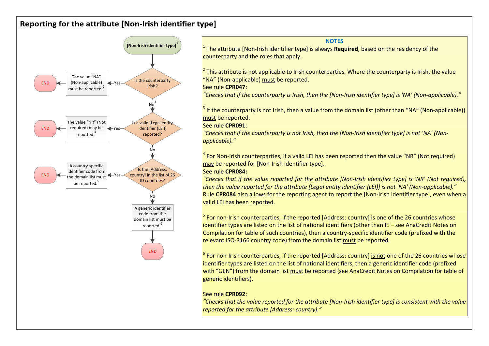# Reporting for the attribute [Non-Irish identifier type]



<sup>1</sup> The attribute [Non-Irish identifier type] is always **Required**, based on the residency of the  $\vert$ counterparty and the roles that apply.

<sup>2</sup> This attribute is not applicable to Irish counterparties. Where the counterparty is Irish, the value<br>"NA" (Non-applicable) <u>must</u> be reported.

"Checks that if the counterparty is Irish, then the [Non-Irish identifier type] is 'NA' (Non-applicable)."

<sup>3</sup> If the counterparty is not Irish, then a value from the domain list (other than "NA" (Non-applicable))  $\vert$ must be reported.

## See rule CPR091:

"Checks that if the counterparty is not Irish, then the [Non-Irish identifier type] is not 'NA' (Non-reported? applicable)."

> <sup>4</sup> For Non-Irish counterparties, if a valid LEI has been reported then the value "NR" (Not required)  $\Box$ may be reported for [Non-Irish identifier type].

## See rule CPR084:

 $\blacksquare$  Checks that if the value reported for the attribute [Non-Irish identifier type] is 'NR' (Not required),  $\blacksquare$ then the value reported for the attribute [Legal entity identifier (LEI)] is not 'NA' (Non-applicable)."  $\frac{1}{2}$  Rule CPR084 also allows for the reporting agent to report the [Non-Irish identifier type], even when a  $\frac{1}{2}$ valid LEI has been reported.

> $^5$  For non-Irish counterparties, if the reported [Address: country] is one of the 26 countries whose  $\begin{array}{|c|} \hline \end{array}$ identifier types are listed on the list of national identifiers (other than IE – see AnaCredit Notes on Compilation for table of such countries), then a country-specific identifier code (prefixed with the relevant ISO-3166 country code) from the domain list must be reported.

END  $\int_{0}^{6}$  For non-Irish counterparties, if the reported [Address: country] is not one of the 26 countries whose identifier types are listed on the list of national identifiers, then a generic identifier code (prefixed with "GEN") from the domain list must be reported (see AnaCredit Notes on Compilation for table of generic identifiers).

## See rule CPR092:

"Checks that the value reported for the attribute [Non-Irish identifier type] is consistent with the value reported for the attribute [Address: country]."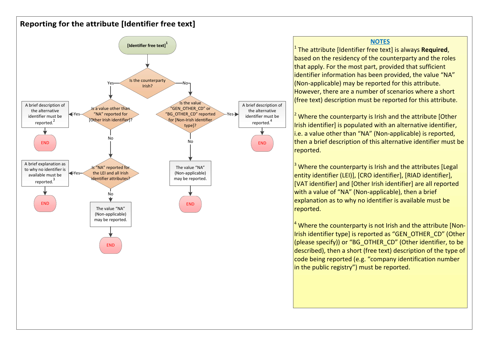## Reporting for the attribute [Identifier free text]



based on the residency of the counterparty and the roles that apply. For the most part, provided that sufficient identifier information has been provided, the value "NA" (Non-applicable) may be reported for this attribute. However, there are a number of scenarios where a short (free text) description must be reported for this attribute.

identifier must be  $\frac{2}{\pi}$  Where the counterparty is Irish and the attribute [Other  $\frac{1}{\pi}$  $\frac{1}{\frac{1}{\sqrt{1-\frac{1}{\sqrt{1-\frac{1}{\sqrt{1-\frac{1}{\sqrt{1-\frac{1}{\sqrt{1-\frac{1}{\sqrt{1-\frac{1}{\sqrt{1-\frac{1}{\sqrt{1-\frac{1}{\sqrt{1-\frac{1}{\sqrt{1-\frac{1}{\sqrt{1-\frac{1}{\sqrt{1-\frac{1}{\sqrt{1-\frac{1}{\sqrt{1-\frac{1}{\sqrt{1-\frac{1}{\sqrt{1-\frac{1}{\sqrt{1-\frac{1}{\sqrt{1-\frac{1}{\sqrt{1-\frac{1}{\sqrt{1-\frac{1}{\sqrt{1-\frac{1}{\sqrt{1-\frac{1}{\sqrt{1-\frac{1}{\sqrt{$ i.e. a value other than "NA" (Non-applicable) is reported,  $\epsilon$ <sub>END</sub>  $\parallel$  **then a brief description of this alternative identifier must be**  $\parallel$ reported.

> <sup>3</sup> Where the counterparty is Irish and the attributes [Legal  $\Box$   $\Box$ entity identifier (LEI)], [CRO identifier], [RIAD identifier], [VAT identifier] and [Other Irish identifier] are all reported with a value of "NA" (Non-applicable), then a brief explanation as to why no identifier is available must be reported.

 $<sup>4</sup>$  Where the counterparty is not Irish and the attribute [Non-</sup> Irish identifier type] is reported as "GEN\_OTHER\_CD" (Other (please specify)) or "BG\_OTHER\_CD" (Other identifier, to be described), then a short (free text) description of the type of code being reported (e.g. "company identification number in the public registry") must be reported.